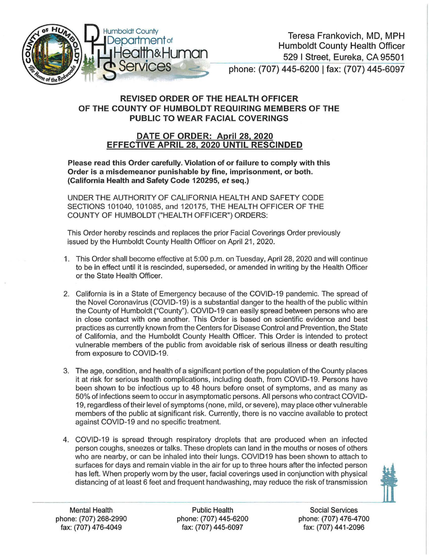

## REVISED ORDER OF THE HEALTH OFFICER OF THE COUNTY OF HUMBOLDT REQUIRING MEMBERS OF THE PUBLIC TO WEAR FACIAL COVERINGS

## DATE OF ORDER: April 28, 2020 EFFECTIVE APRIL 28, 2020 UNTIL RESCINDED

Please read this Order carefully. Violation of or failure to comply with this Order is a misdemeanor punishable by fine, imprisonment, or both. (California Health and Safety Code 120295, et seq.)

UNDER THE AUTHORITY OF CALIFORNIA HEALTH AND SAFETY CODE SECTIONS 101040, 101085, and 120175, THE HEALTH OFFICER OF THE COUNTY OF HUMBOLDT ("HEALTH OFFICER") ORDERS:

This Order hereby rescinds and replaces the prior Facial Coverings Order previously issued by the Humboldt County Health Officer on April 21, 2020.

- 1. This Order shall become effective at 5:00 p.m. on Tuesday, April 28, 2020 and will continue to be in effect until it is rescinded, superseded, or amended in writing by the Health Officer or the State Health Officer.
- 2. California is in a State of Emergency because of the COVID-19 pandemic. The spread of the Novel Coronavirus (COVID-19) is a substantial danger to the health of the public within the County of Humboldt ("County"). COVID-19 can easily spread between persons who are in close contact with one another. This Order is based on scientific evidence and best practices as currently known from the Centers for Disease Control and Prevention, the State of California, and the Humboldt County Health Officer. This Order is intended to protect vulnerable members of the public from avoidable risk of serious illness or death resulting from exposure to COVID-19.
- 3. The age, condition, and health of a significant portion of the population of the County places it at risk for serious health complications, including death, from COVID-19. Persons have been shown to be infectious up to 48 hours before onset of symptoms, and as many as 50% of infections seem to occur in asymptomatic persons. All persons who contract COVID-19, regardless oftheir level of symptoms (none, mild, or severe), may place other vulnerable members of the public at significant risk. Currently, there is no vaccine available to protect against COVID-19 and no specific treatment.
- 4. COVID-19 is spread through respiratory droplets that are produced when an infected person coughs, sneezes or talks. These droplets can land in the mouths or noses of others who are nearby, or can be inhaled into their lungs. COVID19 has been shown to attach to surfaces for days and remain viable in the air for up to three hours after the infected person has left. When properly worn by the user, facial coverings used in conjunction with physical distancing of at least 6 feet and frequent handwashing, may reduce the risk of transmission



Mental Health Public Health Social Services phone: (707) 268-2990 phone: (707) 445-6200 phone: (707) 476-4700 fax: (707) 476-4049 fax: (707) 445-6097 fax: (707) 441-2096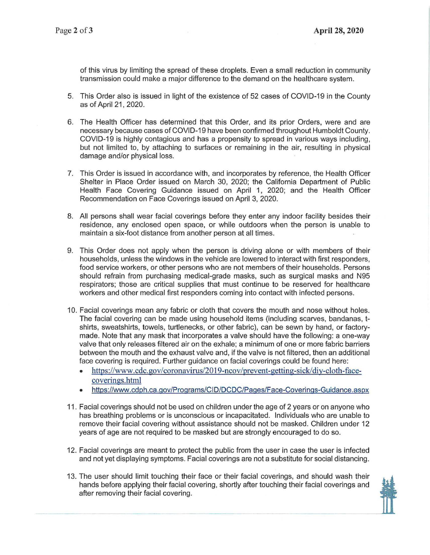of this virus by limiting the spread of these droplets. Even a small reduction in community transmission could make a major difference to the demand on the healthcare system.

- 5. This Order also is issued in light of the existence of 52 cases of COVID-19 in the County as of April 21, 2020.
- 6. The Health Officer has determined that this Order, and its prior Orders, were and are necessary because cases of COVID-19 have been confirmed throughout Humboldt County. COVID-19 is highly contagious and has a propensity to spread in various ways including, but not limited to, by attaching to surfaces or remaining in the air, resulting in physical damage and/or physical loss.
- 7. This Order is issued in accordance with, and incorporates by reference, the Health Officer Shelter in Place Order issued on March 30, 2020; the California Department of Public Health Face Covering Guidance issued on April 1, 2020; and the Health Officer Recommendation on Face Coverings issued on April 3, 2020.
- 8. All persons shall wear facial coverings before they enter any indoor facility besides their residence, any enclosed open space, or while outdoors when the person is unable to maintain a six-foot distance from another person at all times.
- 9. This Order does not apply when the person is driving alone or with members of their households, unless the windows in the vehicle are lowered to interact with first responders, food service workers, or other persons who are not members of their households. Persons should refrain from purchasing medical-grade masks, such as surgical masks and N95 respirators; those are critical supplies that must continue to be reserved for healthcare workers and other medical first responders coming into contact with infected persons.
- 10. Facial coverings mean any fabric or cloth that covers the mouth and nose without holes. The facial covering can be made using household items (including scarves, bandanas, t shirts, sweatshirts, towels, turtlenecks, or other fabric), can be sewn by hand, or factory made. Note that any mask that incorporates a valve should have the following: a one-way valve that only releases filtered air on the exhale; a minimum of one or more fabric barriers between the mouth and the exhaust valve and, if the valve is not filtered, then an additional face covering is required. Further guidance on facial coverings could be found here:
	- https://www.cdc.gov/coronavirus/2019-ncov/prevent-getting-sick/diy-cloth-facecoverings.html
	- https://www.cdph.ca.gov/Programs/CID/DCDC/Pages/Face-Coverings-Guidance.aspx
- 11 . Facial coverings should not be used on children under the age of 2 years or on anyone who has breathing problems or is unconscious or incapacitated. Individuals who are unable to remove their facial covering without assistance should not be masked. Children under 12 years of age are not required to be masked but are strongly encouraged to do so.
- 12. Facial coverings are meant to protect the public from the user in case the user is infected and not yet displaying symptoms. Facial coverings are not a substitute for social distancing.
- after removing their facial covering.<br>
The same control of the same control of the same control of the same control of the same control of the same control of the same control of the same control of the same control of the 13. The user should limit touching their face or their facial coverings, and should wash their ... hands before applying their facial covering, shortly after touching their facial coverings and after removing their facial covering.